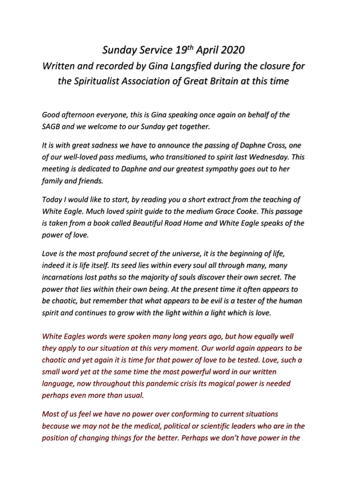## *Sunday Service 19th April 2020 Written and recorded by Gina Langsfied during the closure for the Spiritualist Association of Great Britain at this time*

*Good afternoon everyone, this is Gina speaking once again on behalf of the SAGB and we welcome to our Sunday get together.* 

*It is with great sadness we have to announce the passing of Daphne Cross, one of our well-loved pass mediums, who transitioned to spirit last Wednesday. This meeting is dedicated to Daphne and our greatest sympathy goes out to her family and friends.* 

*Today I would like to start, by reading you a short extract from the teaching of White Eagle. Much loved spirit guide to the medium Grace Cooke. This passage is taken from a book called Beautiful Road Home and White Eagle speaks of the power of love.* 

*Love is the most profound secret of the universe, it is the beginning of life, indeed it is life itself. Its seed lies within every soul all through many, many incarnations lost paths so the majority of souls discover their own secret. The power that lies within their own being. At the present time it often appears to be chaotic, but remember that what appears to be evil is a tester of the human spirit and continues to grow with the light within a light which is love.* 

*White Eagles words were spoken many long years ago, but how equally well they apply to our situation at this very moment. Our world again appears to be chaotic and yet again it is time for that power of love to be tested. Love, such a small word yet at the same time the most powerful word in our written language, now throughout this pandemic crisis Its magical power is needed perhaps even more than usual.* 

*Most of us feel we have no power over conforming to current situations because we may not be the medical, political or scientific leaders who are in the position of changing things for the better. Perhaps we don't have power in the*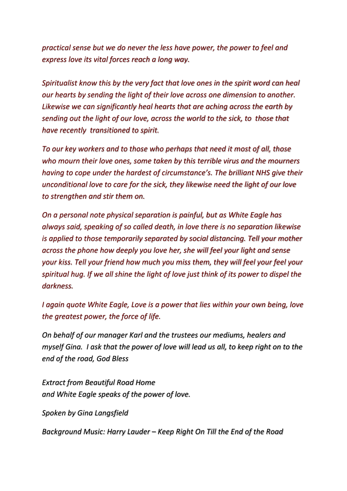*practical sense but we do never the less have power, the power to feel and express love its vital forces reach a long way.* 

*Spiritualist know this by the very fact that love ones in the spirit word can heal our hearts by sending the light of their love across one dimension to another. Likewise we can significantly heal hearts that are aching across the earth by sending out the light of our love, across the world to the sick, to those that have recently transitioned to spirit.* 

*To our key workers and to those who perhaps that need it most of all, those who mourn their love ones, some taken by this terrible virus and the mourners having to cope under the hardest of circumstance's. The brilliant NHS give their unconditional love to care for the sick, they likewise need the light of our love to strengthen and stir them on.* 

*On a personal note physical separation is painful, but as White Eagle has always said, speaking of so called death, in love there is no separation likewise is applied to those temporarily separated by social distancing. Tell your mother across the phone how deeply you love her, she will feel your light and sense your kiss. Tell your friend how much you miss them, they will feel your feel your spiritual hug. If we all shine the light of love just think of its power to dispel the darkness.* 

*I again quote White Eagle, Love is a power that lies within your own being, love the greatest power, the force of life.*

*On behalf of our manager Karl and the trustees our mediums, healers and myself Gina. I ask that the power of love will lead us all, to keep right on to the end of the road, God Bless*

*Extract from Beautiful Road Home and White Eagle speaks of the power of love.* 

*Spoken by Gina Langsfield* 

*Background Music: Harry Lauder – Keep Right On Till the End of the Road*